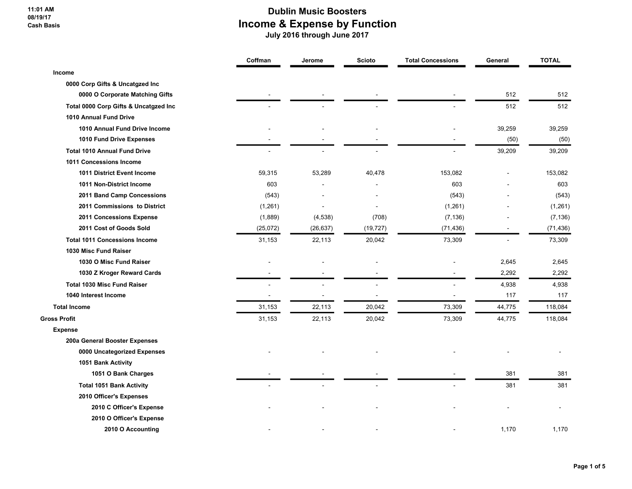11:01 AM 08/19/17 Cash Basis

|                                       | Coffman   | Jerome    | <b>Scioto</b> | <b>Total Concessions</b>     | General        | <b>TOTAL</b> |
|---------------------------------------|-----------|-----------|---------------|------------------------------|----------------|--------------|
| Income                                |           |           |               |                              |                |              |
| 0000 Corp Gifts & Uncatgzed Inc       |           |           |               |                              |                |              |
| 0000 O Corporate Matching Gifts       |           |           |               |                              | 512            | 512          |
| Total 0000 Corp Gifts & Uncatgzed Inc |           |           |               |                              | 512            | 512          |
| 1010 Annual Fund Drive                |           |           |               |                              |                |              |
| 1010 Annual Fund Drive Income         |           |           |               |                              | 39,259         | 39,259       |
| 1010 Fund Drive Expenses              |           |           |               |                              | (50)           | (50)         |
| <b>Total 1010 Annual Fund Drive</b>   |           |           |               |                              | 39,209         | 39,209       |
| 1011 Concessions Income               |           |           |               |                              |                |              |
| 1011 District Event Income            | 59,315    | 53,289    | 40,478        | 153,082                      |                | 153,082      |
| 1011 Non-District Income              | 603       |           |               | 603                          |                | 603          |
| 2011 Band Camp Concessions            | (543)     |           |               | (543)                        |                | (543)        |
| 2011 Commissions to District          | (1, 261)  |           |               | (1,261)                      |                | (1,261)      |
| 2011 Concessions Expense              | (1,889)   | (4, 538)  | (708)         | (7, 136)                     |                | (7, 136)     |
| 2011 Cost of Goods Sold               | (25, 072) | (26, 637) | (19, 727)     | (71, 436)                    |                | (71, 436)    |
| <b>Total 1011 Concessions Income</b>  | 31,153    | 22,113    | 20,042        | 73,309                       | $\overline{a}$ | 73,309       |
| 1030 Misc Fund Raiser                 |           |           |               |                              |                |              |
| 1030 O Misc Fund Raiser               |           |           |               |                              | 2,645          | 2,645        |
| 1030 Z Kroger Reward Cards            |           |           |               |                              | 2,292          | 2,292        |
| <b>Total 1030 Misc Fund Raiser</b>    |           |           |               |                              | 4,938          | 4,938        |
| 1040 Interest Income                  | ä,        |           |               | $\qquad \qquad \blacksquare$ | 117            | 117          |
| <b>Total Income</b>                   | 31,153    | 22,113    | 20,042        | 73,309                       | 44,775         | 118,084      |
| Gross Profit                          | 31,153    | 22,113    | 20,042        | 73,309                       | 44,775         | 118,084      |
| <b>Expense</b>                        |           |           |               |                              |                |              |
| 200a General Booster Expenses         |           |           |               |                              |                |              |
| 0000 Uncategorized Expenses           |           |           |               |                              |                |              |
| 1051 Bank Activity                    |           |           |               |                              |                |              |
| 1051 O Bank Charges                   |           |           |               |                              | 381            | 381          |
| <b>Total 1051 Bank Activity</b>       |           |           |               |                              | 381            | 381          |
| 2010 Officer's Expenses               |           |           |               |                              |                |              |
| 2010 C Officer's Expense              |           |           |               |                              |                |              |
| 2010 O Officer's Expense              |           |           |               |                              |                |              |
| 2010 O Accounting                     |           |           |               |                              | 1,170          | 1,170        |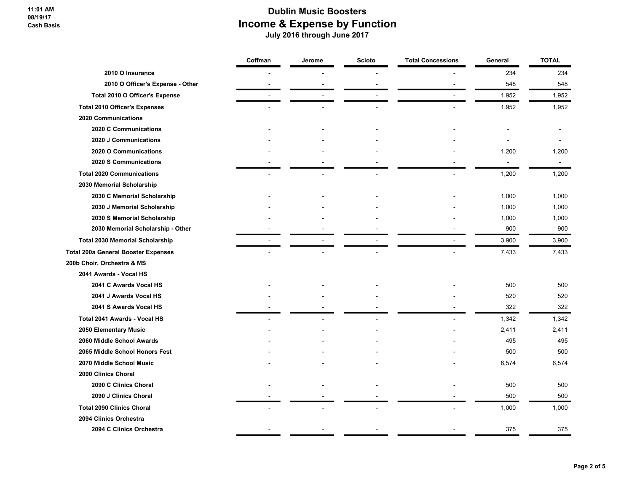|                                            | Coffman | Jerome | <b>Scioto</b> | <b>Total Concessions</b> | General | <b>TOTAL</b> |
|--------------------------------------------|---------|--------|---------------|--------------------------|---------|--------------|
| 2010 O Insurance                           |         |        |               |                          | 234     | 234          |
| 2010 O Officer's Expense - Other           |         |        |               |                          | 548     | 548          |
| Total 2010 O Officer's Expense             |         |        |               |                          | 1,952   | 1,952        |
| <b>Total 2010 Officer's Expenses</b>       |         |        |               |                          | 1,952   | 1,952        |
| 2020 Communications                        |         |        |               |                          |         |              |
| 2020 C Communications                      |         |        |               |                          |         |              |
| 2020 J Communications                      |         |        |               |                          |         |              |
| 2020 O Communications                      |         |        |               |                          | 1,200   | 1,200        |
| 2020 S Communications                      |         |        |               |                          | ÷,      | $\mathbf{r}$ |
| <b>Total 2020 Communications</b>           |         |        |               |                          | 1,200   | 1,200        |
| 2030 Memorial Scholarship                  |         |        |               |                          |         |              |
| 2030 C Memorial Scholarship                |         |        |               |                          | 1,000   | 1,000        |
| 2030 J Memorial Scholarship                |         |        |               |                          | 1,000   | 1,000        |
| 2030 S Memorial Scholarship                |         |        |               |                          | 1,000   | 1,000        |
| 2030 Memorial Scholarship - Other          |         |        |               |                          | 900     | 900          |
| <b>Total 2030 Memorial Scholarship</b>     |         |        |               |                          | 3,900   | 3,900        |
| <b>Total 200a General Booster Expenses</b> |         |        |               |                          | 7,433   | 7,433        |
| 200b Choir, Orchestra & MS                 |         |        |               |                          |         |              |
| 2041 Awards - Vocal HS                     |         |        |               |                          |         |              |
| 2041 C Awards Vocal HS                     |         |        |               |                          | 500     | 500          |
| 2041 J Awards Vocal HS                     |         |        |               |                          | 520     | 520          |
| 2041 S Awards Vocal HS                     |         |        |               |                          | 322     | 322          |
| Total 2041 Awards - Vocal HS               |         |        |               |                          | 1,342   | 1,342        |
| 2050 Elementary Music                      |         |        |               |                          | 2,411   | 2,411        |
| 2060 Middle School Awards                  |         |        |               |                          | 495     | 495          |
| 2065 Middle School Honors Fest             |         |        |               |                          | 500     | 500          |
| 2070 Middle School Music                   |         |        |               |                          | 6,574   | 6,574        |
| 2090 Clinics Choral                        |         |        |               |                          |         |              |
| 2090 C Clinics Choral                      |         |        |               |                          | 500     | 500          |
| 2090 J Clinics Choral                      |         |        |               |                          | 500     | 500          |
| <b>Total 2090 Clinics Choral</b>           |         |        |               |                          | 1,000   | 1,000        |
| 2094 Clinics Orchestra                     |         |        |               |                          |         |              |
| 2094 C Clinics Orchestra                   |         |        |               |                          | 375     | 375          |
|                                            |         |        |               |                          |         |              |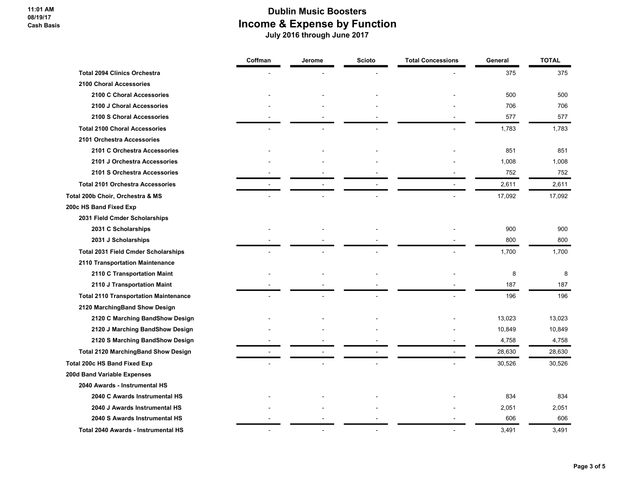|                                              | Coffman | Jerome | <b>Scioto</b> | <b>Total Concessions</b> | General | <b>TOTAL</b> |
|----------------------------------------------|---------|--------|---------------|--------------------------|---------|--------------|
| <b>Total 2094 Clinics Orchestra</b>          |         |        |               |                          | 375     | 375          |
| 2100 Choral Accessories                      |         |        |               |                          |         |              |
| 2100 C Choral Accessories                    |         |        |               |                          | 500     | 500          |
| 2100 J Choral Accessories                    |         |        |               |                          | 706     | 706          |
| 2100 S Choral Accessories                    |         |        |               |                          | 577     | 577          |
| <b>Total 2100 Choral Accessories</b>         |         |        |               |                          | 1,783   | 1,783        |
| 2101 Orchestra Accessories                   |         |        |               |                          |         |              |
| 2101 C Orchestra Accessories                 |         |        |               |                          | 851     | 851          |
| 2101 J Orchestra Accessories                 |         |        |               |                          | 1,008   | 1,008        |
| 2101 S Orchestra Accessories                 |         |        |               |                          | 752     | 752          |
| <b>Total 2101 Orchestra Accessories</b>      |         |        |               | $\blacksquare$           | 2,611   | 2,611        |
| Total 200b Choir, Orchestra & MS             |         |        |               |                          | 17,092  | 17,092       |
| 200c HS Band Fixed Exp                       |         |        |               |                          |         |              |
| 2031 Field Cmder Scholarships                |         |        |               |                          |         |              |
| 2031 C Scholarships                          |         |        |               |                          | 900     | 900          |
| 2031 J Scholarships                          |         |        |               |                          | 800     | 800          |
| <b>Total 2031 Field Cmder Scholarships</b>   |         |        |               |                          | 1,700   | 1,700        |
| 2110 Transportation Maintenance              |         |        |               |                          |         |              |
| 2110 C Transportation Maint                  |         |        |               |                          | 8       | 8            |
| 2110 J Transportation Maint                  |         |        |               |                          | 187     | 187          |
| <b>Total 2110 Transportation Maintenance</b> |         |        |               |                          | 196     | 196          |
| 2120 MarchingBand Show Design                |         |        |               |                          |         |              |
| 2120 C Marching BandShow Design              |         |        |               |                          | 13,023  | 13,023       |
| 2120 J Marching BandShow Design              |         |        |               |                          | 10,849  | 10,849       |
| 2120 S Marching BandShow Design              |         |        |               |                          | 4,758   | 4,758        |
| <b>Total 2120 MarchingBand Show Design</b>   |         |        |               | $\overline{a}$           | 28,630  | 28,630       |
| <b>Total 200c HS Band Fixed Exp</b>          |         |        |               |                          | 30,526  | 30,526       |
| 200d Band Variable Expenses                  |         |        |               |                          |         |              |
| 2040 Awards - Instrumental HS                |         |        |               |                          |         |              |
| 2040 C Awards Instrumental HS                |         |        |               |                          | 834     | 834          |
| 2040 J Awards Instrumental HS                |         |        |               |                          | 2,051   | 2,051        |
| 2040 S Awards Instrumental HS                |         |        |               |                          | 606     | 606          |
| Total 2040 Awards - Instrumental HS          |         |        |               |                          | 3,491   | 3,491        |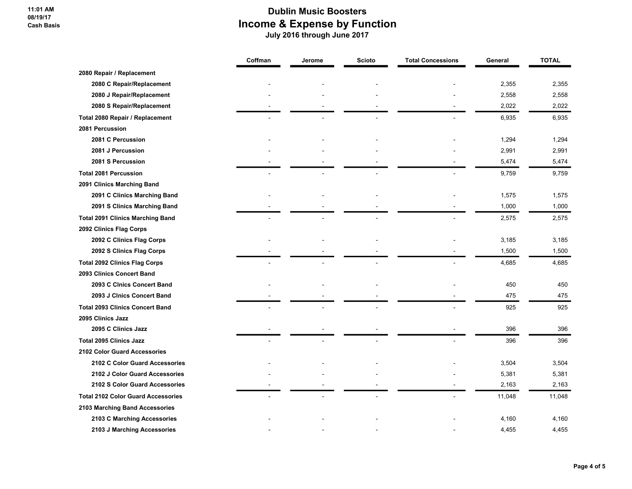11:01 AM 08/19/17 Cash Basis

|                                           | Coffman | Jerome | <b>Scioto</b> | <b>Total Concessions</b> | General | <b>TOTAL</b> |
|-------------------------------------------|---------|--------|---------------|--------------------------|---------|--------------|
| 2080 Repair / Replacement                 |         |        |               |                          |         |              |
| 2080 C Repair/Replacement                 |         |        |               |                          | 2,355   | 2,355        |
| 2080 J Repair/Replacement                 |         |        |               |                          | 2,558   | 2,558        |
| 2080 S Repair/Replacement                 |         |        |               |                          | 2,022   | 2,022        |
| Total 2080 Repair / Replacement           |         |        |               |                          | 6,935   | 6,935        |
| 2081 Percussion                           |         |        |               |                          |         |              |
| 2081 C Percussion                         |         |        |               |                          | 1,294   | 1,294        |
| 2081 J Percussion                         |         |        |               |                          | 2,991   | 2,991        |
| 2081 S Percussion                         |         |        |               |                          | 5,474   | 5,474        |
| <b>Total 2081 Percussion</b>              |         |        |               |                          | 9,759   | 9,759        |
| 2091 Clinics Marching Band                |         |        |               |                          |         |              |
| 2091 C Clinics Marching Band              |         |        |               |                          | 1,575   | 1,575        |
| 2091 S Clinics Marching Band              |         |        |               |                          | 1,000   | 1,000        |
| <b>Total 2091 Clinics Marching Band</b>   |         |        |               |                          | 2,575   | 2,575        |
| 2092 Clinics Flag Corps                   |         |        |               |                          |         |              |
| 2092 C Clinics Flag Corps                 |         |        |               |                          | 3,185   | 3,185        |
| 2092 S Clinics Flag Corps                 |         |        |               |                          | 1,500   | 1,500        |
| <b>Total 2092 Clinics Flag Corps</b>      |         |        |               |                          | 4,685   | 4,685        |
| 2093 Clinics Concert Band                 |         |        |               |                          |         |              |
| 2093 C Cinics Concert Band                |         |        |               |                          | 450     | 450          |
| 2093 J Clnics Concert Band                |         |        |               |                          | 475     | 475          |
| <b>Total 2093 Clinics Concert Band</b>    |         |        |               |                          | 925     | 925          |
| 2095 Clinics Jazz                         |         |        |               |                          |         |              |
| 2095 C Clinics Jazz                       |         |        |               |                          | 396     | 396          |
| <b>Total 2095 Clinics Jazz</b>            |         |        |               |                          | 396     | 396          |
| 2102 Color Guard Accessories              |         |        |               |                          |         |              |
| 2102 C Color Guard Accessories            |         |        |               |                          | 3,504   | 3,504        |
| 2102 J Color Guard Accessories            |         |        |               |                          | 5,381   | 5,381        |
| 2102 S Color Guard Accessories            |         |        |               |                          | 2,163   | 2,163        |
| <b>Total 2102 Color Guard Accessories</b> |         |        |               |                          | 11,048  | 11,048       |
| 2103 Marching Band Accessories            |         |        |               |                          |         |              |
| 2103 C Marching Accessories               |         |        |               |                          | 4,160   | 4,160        |
| 2103 J Marching Accessories               |         |        |               |                          | 4,455   | 4,455        |